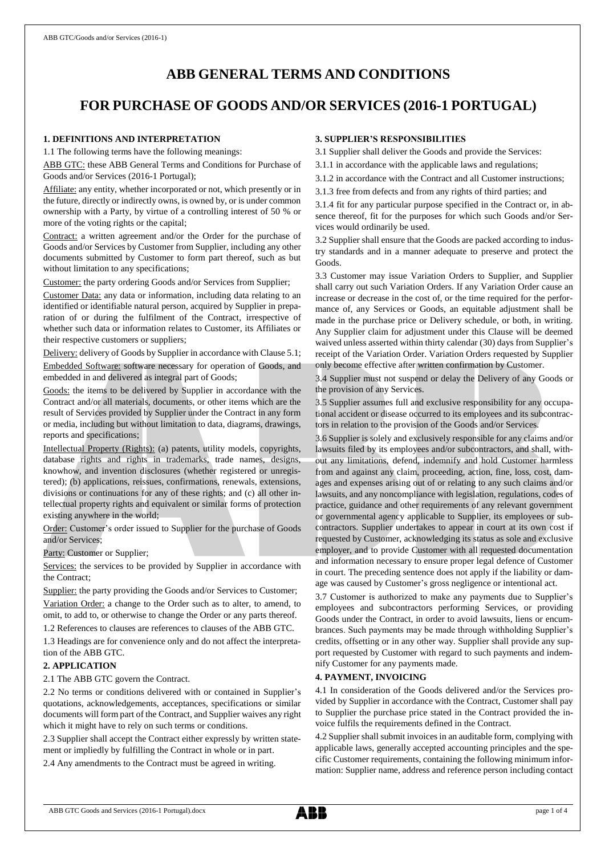# **ABB GENERAL TERMS AND CONDITIONS**

# **FOR PURCHASE OF GOODS AND/OR SERVICES (2016-1 PORTUGAL)**

## **1. DEFINITIONS AND INTERPRETATION**

1.1 The following terms have the following meanings:

ABB GTC: these ABB General Terms and Conditions for Purchase of Goods and/or Services (2016-1 Portugal);

Affiliate: any entity, whether incorporated or not, which presently or in the future, directly or indirectly owns, is owned by, or is under common ownership with a Party, by virtue of a controlling interest of 50 % or more of the voting rights or the capital;

Contract: a written agreement and/or the Order for the purchase of Goods and/or Services by Customer from Supplier, including any other documents submitted by Customer to form part thereof, such as but without limitation to any specifications;

Customer: the party ordering Goods and/or Services from Supplier;

Customer Data: any data or information, including data relating to an identified or identifiable natural person, acquired by Supplier in preparation of or during the fulfilment of the Contract, irrespective of whether such data or information relates to Customer, its Affiliates or their respective customers or suppliers;

Delivery: delivery of Goods by Supplier in accordance with Clause 5.1; Embedded Software: software necessary for operation of Goods, and embedded in and delivered as integral part of Goods;

Goods: the items to be delivered by Supplier in accordance with the Contract and/or all materials, documents, or other items which are the result of Services provided by Supplier under the Contract in any form or media, including but without limitation to data, diagrams, drawings, reports and specifications;

Intellectual Property (Rights): (a) patents, utility models, copyrights, database rights and rights in trademarks, trade names, designs, knowhow, and invention disclosures (whether registered or unregistered); (b) applications, reissues, confirmations, renewals, extensions, divisions or continuations for any of these rights; and (c) all other intellectual property rights and equivalent or similar forms of protection existing anywhere in the world;

Order: Customer's order issued to Supplier for the purchase of Goods and/or Services;

Party: Customer or Supplier;

Services: the services to be provided by Supplier in accordance with the Contract;

Supplier: the party providing the Goods and/or Services to Customer; Variation Order: a change to the Order such as to alter, to amend, to omit, to add to, or otherwise to change the Order or any parts thereof.

1.2 References to clauses are references to clauses of the ABB GTC.

1.3 Headings are for convenience only and do not affect the interpretation of the ABB GTC.

## **2. APPLICATION**

2.1 The ABB GTC govern the Contract.

2.2 No terms or conditions delivered with or contained in Supplier's quotations, acknowledgements, acceptances, specifications or similar documents will form part of the Contract, and Supplier waives any right which it might have to rely on such terms or conditions.

2.3 Supplier shall accept the Contract either expressly by written statement or impliedly by fulfilling the Contract in whole or in part.

2.4 Any amendments to the Contract must be agreed in writing.

# **3. SUPPLIER'S RESPONSIBILITIES**

3.1 Supplier shall deliver the Goods and provide the Services:

3.1.1 in accordance with the applicable laws and regulations;

3.1.2 in accordance with the Contract and all Customer instructions;

3.1.3 free from defects and from any rights of third parties; and

3.1.4 fit for any particular purpose specified in the Contract or, in absence thereof, fit for the purposes for which such Goods and/or Services would ordinarily be used.

3.2 Supplier shall ensure that the Goods are packed according to industry standards and in a manner adequate to preserve and protect the Goods.

3.3 Customer may issue Variation Orders to Supplier, and Supplier shall carry out such Variation Orders. If any Variation Order cause an increase or decrease in the cost of, or the time required for the performance of, any Services or Goods, an equitable adjustment shall be made in the purchase price or Delivery schedule, or both, in writing. Any Supplier claim for adjustment under this Clause will be deemed waived unless asserted within thirty calendar (30) days from Supplier's receipt of the Variation Order. Variation Orders requested by Supplier only become effective after written confirmation by Customer.

3.4 Supplier must not suspend or delay the Delivery of any Goods or the provision of any Services.

3.5 Supplier assumes full and exclusive responsibility for any occupational accident or disease occurred to its employees and its subcontractors in relation to the provision of the Goods and/or Services.

3.6 Supplier is solely and exclusively responsible for any claims and/or lawsuits filed by its employees and/or subcontractors, and shall, without any limitations, defend, indemnify and hold Customer harmless from and against any claim, proceeding, action, fine, loss, cost, damages and expenses arising out of or relating to any such claims and/or lawsuits, and any noncompliance with legislation, regulations, codes of practice, guidance and other requirements of any relevant government or governmental agency applicable to Supplier, its employees or subcontractors. Supplier undertakes to appear in court at its own cost if requested by Customer, acknowledging its status as sole and exclusive employer, and to provide Customer with all requested documentation and information necessary to ensure proper legal defence of Customer in court. The preceding sentence does not apply if the liability or damage was caused by Customer's gross negligence or intentional act.

3.7 Customer is authorized to make any payments due to Supplier's employees and subcontractors performing Services, or providing Goods under the Contract, in order to avoid lawsuits, liens or encumbrances. Such payments may be made through withholding Supplier's credits, offsetting or in any other way. Supplier shall provide any support requested by Customer with regard to such payments and indemnify Customer for any payments made.

#### **4. PAYMENT, INVOICING**

4.1 In consideration of the Goods delivered and/or the Services provided by Supplier in accordance with the Contract, Customer shall pay to Supplier the purchase price stated in the Contract provided the invoice fulfils the requirements defined in the Contract.

4.2 Supplier shall submit invoices in an auditable form, complying with applicable laws, generally accepted accounting principles and the specific Customer requirements, containing the following minimum information: Supplier name, address and reference person including contact

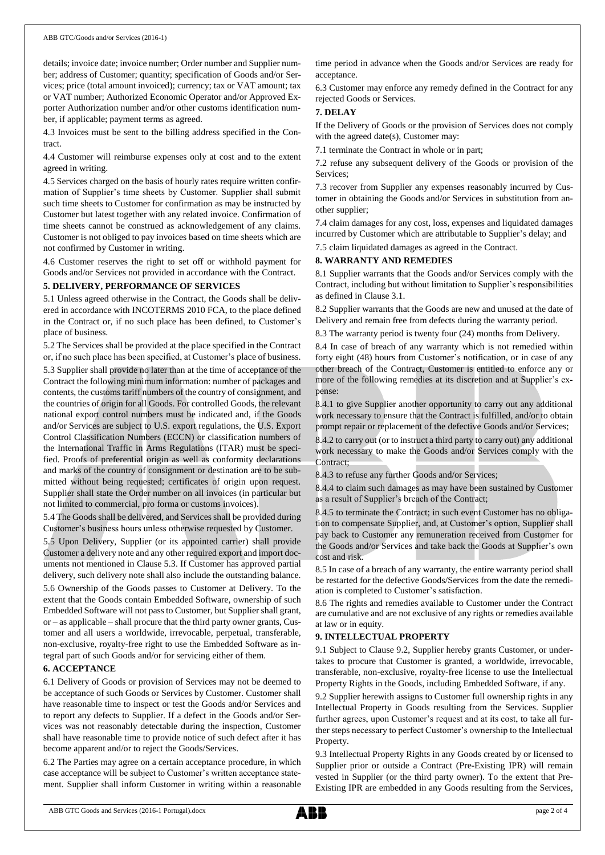details; invoice date; invoice number; Order number and Supplier number; address of Customer; quantity; specification of Goods and/or Services; price (total amount invoiced); currency; tax or VAT amount; tax or VAT number; Authorized Economic Operator and/or Approved Exporter Authorization number and/or other customs identification number, if applicable; payment terms as agreed.

4.3 Invoices must be sent to the billing address specified in the Contract.

4.4 Customer will reimburse expenses only at cost and to the extent agreed in writing.

4.5 Services charged on the basis of hourly rates require written confirmation of Supplier's time sheets by Customer. Supplier shall submit such time sheets to Customer for confirmation as may be instructed by Customer but latest together with any related invoice. Confirmation of time sheets cannot be construed as acknowledgement of any claims. Customer is not obliged to pay invoices based on time sheets which are not confirmed by Customer in writing.

4.6 Customer reserves the right to set off or withhold payment for Goods and/or Services not provided in accordance with the Contract.

#### **5. DELIVERY, PERFORMANCE OF SERVICES**

5.1 Unless agreed otherwise in the Contract, the Goods shall be delivered in accordance with INCOTERMS 2010 FCA, to the place defined in the Contract or, if no such place has been defined, to Customer's place of business.

5.2 The Services shall be provided at the place specified in the Contract or, if no such place has been specified, at Customer's place of business.

5.3 Supplier shall provide no later than at the time of acceptance of the Contract the following minimum information: number of packages and contents, the customs tariff numbers of the country of consignment, and the countries of origin for all Goods. For controlled Goods, the relevant national export control numbers must be indicated and, if the Goods and/or Services are subject to U.S. export regulations, the U.S. Export Control Classification Numbers (ECCN) or classification numbers of the International Traffic in Arms Regulations (ITAR) must be specified. Proofs of preferential origin as well as conformity declarations and marks of the country of consignment or destination are to be submitted without being requested; certificates of origin upon request. Supplier shall state the Order number on all invoices (in particular but not limited to commercial, pro forma or customs invoices).

5.4 The Goods shall be delivered, and Services shall be provided during Customer's business hours unless otherwise requested by Customer.

5.5 Upon Delivery, Supplier (or its appointed carrier) shall provide Customer a delivery note and any other required export and import documents not mentioned in Clause 5.3. If Customer has approved partial delivery, such delivery note shall also include the outstanding balance.

5.6 Ownership of the Goods passes to Customer at Delivery. To the extent that the Goods contain Embedded Software, ownership of such Embedded Software will not passto Customer, but Supplier shall grant, or – as applicable – shall procure that the third party owner grants, Customer and all users a worldwide, irrevocable, perpetual, transferable, non-exclusive, royalty-free right to use the Embedded Software as integral part of such Goods and/or for servicing either of them.

#### **6. ACCEPTANCE**

6.1 Delivery of Goods or provision of Services may not be deemed to be acceptance of such Goods or Services by Customer. Customer shall have reasonable time to inspect or test the Goods and/or Services and to report any defects to Supplier. If a defect in the Goods and/or Services was not reasonably detectable during the inspection, Customer shall have reasonable time to provide notice of such defect after it has become apparent and/or to reject the Goods/Services.

6.2 The Parties may agree on a certain acceptance procedure, in which case acceptance will be subject to Customer's written acceptance statement. Supplier shall inform Customer in writing within a reasonable time period in advance when the Goods and/or Services are ready for acceptance.

6.3 Customer may enforce any remedy defined in the Contract for any rejected Goods or Services.

## **7. DELAY**

If the Delivery of Goods or the provision of Services does not comply with the agreed date(s), Customer may:

7.1 terminate the Contract in whole or in part;

7.2 refuse any subsequent delivery of the Goods or provision of the Services;

7.3 recover from Supplier any expenses reasonably incurred by Customer in obtaining the Goods and/or Services in substitution from another supplier;

7.4 claim damages for any cost, loss, expenses and liquidated damages incurred by Customer which are attributable to Supplier's delay; and

7.5 claim liquidated damages as agreed in the Contract.

## **8. WARRANTY AND REMEDIES**

8.1 Supplier warrants that the Goods and/or Services comply with the Contract, including but without limitation to Supplier's responsibilities as defined in Clause 3.1.

8.2 Supplier warrants that the Goods are new and unused at the date of Delivery and remain free from defects during the warranty period.

8.3 The warranty period is twenty four (24) months from Delivery.

8.4 In case of breach of any warranty which is not remedied within forty eight (48) hours from Customer's notification, or in case of any other breach of the Contract, Customer is entitled to enforce any or more of the following remedies at its discretion and at Supplier's expense:

8.4.1 to give Supplier another opportunity to carry out any additional work necessary to ensure that the Contract is fulfilled, and/or to obtain prompt repair or replacement of the defective Goods and/or Services;

8.4.2 to carry out (or to instruct a third party to carry out) any additional work necessary to make the Goods and/or Services comply with the Contract;

8.4.3 to refuse any further Goods and/or Services;

8.4.4 to claim such damages as may have been sustained by Customer as a result of Supplier's breach of the Contract;

8.4.5 to terminate the Contract; in such event Customer has no obligation to compensate Supplier, and, at Customer's option, Supplier shall pay back to Customer any remuneration received from Customer for the Goods and/or Services and take back the Goods at Supplier's own cost and risk.

8.5 In case of a breach of any warranty, the entire warranty period shall be restarted for the defective Goods/Services from the date the remediation is completed to Customer's satisfaction.

8.6 The rights and remedies available to Customer under the Contract are cumulative and are not exclusive of any rights or remedies available at law or in equity.

#### **9. INTELLECTUAL PROPERTY**

9.1 Subject to Clause 9.2, Supplier hereby grants Customer, or undertakes to procure that Customer is granted, a worldwide, irrevocable, transferable, non-exclusive, royalty-free license to use the Intellectual Property Rights in the Goods, including Embedded Software, if any.

9.2 Supplier herewith assigns to Customer full ownership rights in any Intellectual Property in Goods resulting from the Services. Supplier further agrees, upon Customer's request and at its cost, to take all further steps necessary to perfect Customer's ownership to the Intellectual Property.

9.3 Intellectual Property Rights in any Goods created by or licensed to Supplier prior or outside a Contract (Pre-Existing IPR) will remain vested in Supplier (or the third party owner). To the extent that Pre-Existing IPR are embedded in any Goods resulting from the Services,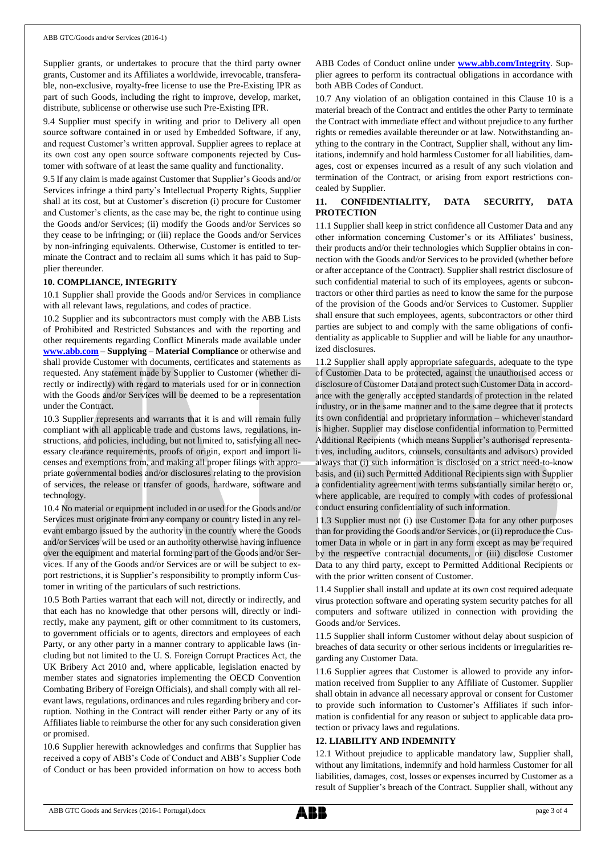Supplier grants, or undertakes to procure that the third party owner grants, Customer and its Affiliates a worldwide, irrevocable, transferable, non-exclusive, royalty-free license to use the Pre-Existing IPR as part of such Goods, including the right to improve, develop, market, distribute, sublicense or otherwise use such Pre-Existing IPR.

9.4 Supplier must specify in writing and prior to Delivery all open source software contained in or used by Embedded Software, if any, and request Customer's written approval. Supplier agrees to replace at its own cost any open source software components rejected by Customer with software of at least the same quality and functionality.

9.5 If any claim is made against Customer that Supplier's Goods and/or Services infringe a third party's Intellectual Property Rights, Supplier shall at its cost, but at Customer's discretion (i) procure for Customer and Customer's clients, as the case may be, the right to continue using the Goods and/or Services; (ii) modify the Goods and/or Services so they cease to be infringing; or (iii) replace the Goods and/or Services by non-infringing equivalents. Otherwise, Customer is entitled to terminate the Contract and to reclaim all sums which it has paid to Supplier thereunder.

#### **10. COMPLIANCE, INTEGRITY**

10.1 Supplier shall provide the Goods and/or Services in compliance with all relevant laws, regulations, and codes of practice.

10.2 Supplier and its subcontractors must comply with the ABB Lists of Prohibited and Restricted Substances and with the reporting and other requirements regarding Conflict Minerals made available under **[www.abb.com](http://www.abb.com/) – Supplying – Material Compliance** or otherwise and shall provide Customer with documents, certificates and statements as requested. Any statement made by Supplier to Customer (whether directly or indirectly) with regard to materials used for or in connection with the Goods and/or Services will be deemed to be a representation under the Contract.

10.3 Supplier represents and warrants that it is and will remain fully compliant with all applicable trade and customs laws, regulations, instructions, and policies, including, but not limited to, satisfying all necessary clearance requirements, proofs of origin, export and import licenses and exemptions from, and making all proper filings with appropriate governmental bodies and/or disclosures relating to the provision of services, the release or transfer of goods, hardware, software and technology.

10.4 No material or equipment included in or used for the Goods and/or Services must originate from any company or country listed in any relevant embargo issued by the authority in the country where the Goods and/or Services will be used or an authority otherwise having influence over the equipment and material forming part of the Goods and/or Services. If any of the Goods and/or Services are or will be subject to export restrictions, it is Supplier's responsibility to promptly inform Customer in writing of the particulars of such restrictions.

10.5 Both Parties warrant that each will not, directly or indirectly, and that each has no knowledge that other persons will, directly or indirectly, make any payment, gift or other commitment to its customers, to government officials or to agents, directors and employees of each Party, or any other party in a manner contrary to applicable laws (including but not limited to the U. S. Foreign Corrupt Practices Act, the UK Bribery Act 2010 and, where applicable, legislation enacted by member states and signatories implementing the OECD Convention Combating Bribery of Foreign Officials), and shall comply with all relevant laws, regulations, ordinances and rules regarding bribery and corruption. Nothing in the Contract will render either Party or any of its Affiliates liable to reimburse the other for any such consideration given or promised.

10.6 Supplier herewith acknowledges and confirms that Supplier has received a copy of ABB's Code of Conduct and ABB's Supplier Code of Conduct or has been provided information on how to access both ABB Codes of Conduct online under **[www.abb.com/Integrity](http://www.abb.com/Integrity)**. Supplier agrees to perform its contractual obligations in accordance with both ABB Codes of Conduct.

10.7 Any violation of an obligation contained in this Clause 10 is a material breach of the Contract and entitles the other Party to terminate the Contract with immediate effect and without prejudice to any further rights or remedies available thereunder or at law. Notwithstanding anything to the contrary in the Contract, Supplier shall, without any limitations, indemnify and hold harmless Customer for all liabilities, damages, cost or expenses incurred as a result of any such violation and termination of the Contract, or arising from export restrictions concealed by Supplier.

## **11. CONFIDENTIALITY, DATA SECURITY, DATA PROTECTION**

11.1 Supplier shall keep in strict confidence all Customer Data and any other information concerning Customer's or its Affiliates' business, their products and/or their technologies which Supplier obtains in connection with the Goods and/or Services to be provided (whether before or after acceptance of the Contract). Supplier shall restrict disclosure of such confidential material to such of its employees, agents or subcontractors or other third parties as need to know the same for the purpose of the provision of the Goods and/or Services to Customer. Supplier shall ensure that such employees, agents, subcontractors or other third parties are subject to and comply with the same obligations of confidentiality as applicable to Supplier and will be liable for any unauthorized disclosures.

11.2 Supplier shall apply appropriate safeguards, adequate to the type of Customer Data to be protected, against the unauthorised access or disclosure of Customer Data and protect such Customer Data in accordance with the generally accepted standards of protection in the related industry, or in the same manner and to the same degree that it protects its own confidential and proprietary information – whichever standard is higher. Supplier may disclose confidential information to Permitted Additional Recipients (which means Supplier's authorised representatives, including auditors, counsels, consultants and advisors) provided always that (i) such information is disclosed on a strict need-to-know basis, and (ii) such Permitted Additional Recipients sign with Supplier a confidentiality agreement with terms substantially similar hereto or, where applicable, are required to comply with codes of professional conduct ensuring confidentiality of such information.

11.3 Supplier must not (i) use Customer Data for any other purposes than for providing the Goods and/or Services, or (ii) reproduce the Customer Data in whole or in part in any form except as may be required by the respective contractual documents, or (iii) disclose Customer Data to any third party, except to Permitted Additional Recipients or with the prior written consent of Customer.

11.4 Supplier shall install and update at its own cost required adequate virus protection software and operating system security patches for all computers and software utilized in connection with providing the Goods and/or Services.

11.5 Supplier shall inform Customer without delay about suspicion of breaches of data security or other serious incidents or irregularities regarding any Customer Data.

11.6 Supplier agrees that Customer is allowed to provide any information received from Supplier to any Affiliate of Customer. Supplier shall obtain in advance all necessary approval or consent for Customer to provide such information to Customer's Affiliates if such information is confidential for any reason or subject to applicable data protection or privacy laws and regulations.

#### **12. LIABILITY AND INDEMNITY**

12.1 Without prejudice to applicable mandatory law, Supplier shall, without any limitations, indemnify and hold harmless Customer for all liabilities, damages, cost, losses or expenses incurred by Customer as a result of Supplier's breach of the Contract. Supplier shall, without any